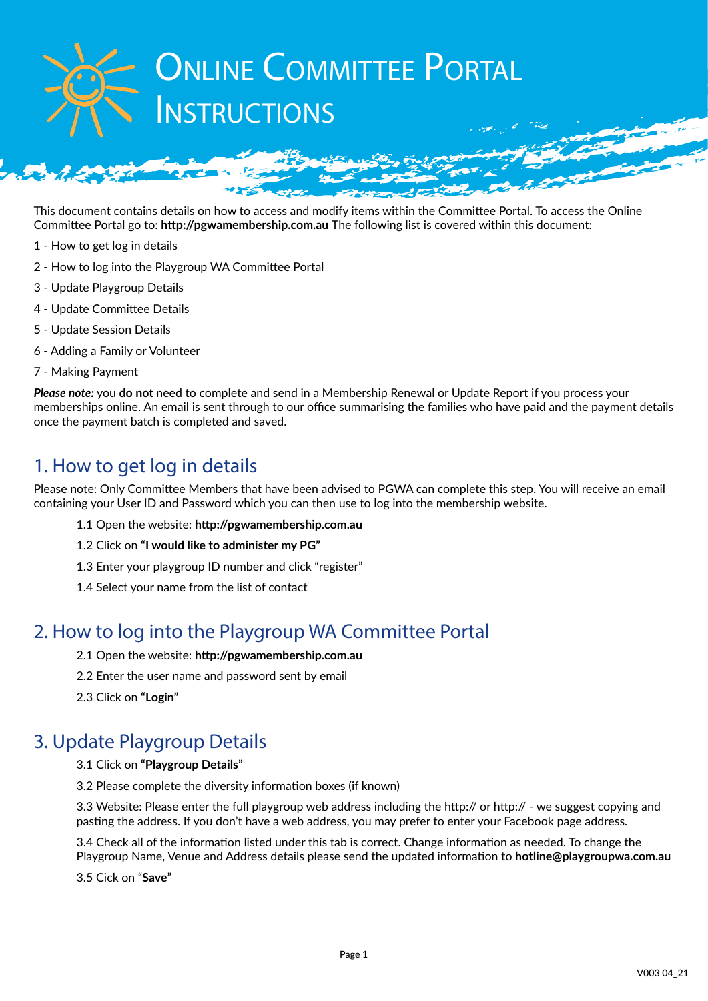# **ONLINE COMMITTEE PORTAL NSTRUCTIONS**

This document contains details on how to access and modify items within the Committee Portal. To access the Online Committee Portal go to: **http://pgwamembership.com.au** The following list is covered within this document:

- 1 How to get log in details
- 2 How to log into the Playgroup WA Committee Portal
- 3 Update Playgroup Details
- 4 Update Committee Details
- 5 Update Session Details
- 6 Adding a Family or Volunteer
- 7 Making Payment

*Please note:* you **do not** need to complete and send in a Membership Renewal or Update Report if you process your memberships online. An email is sent through to our office summarising the families who have paid and the payment details once the payment batch is completed and saved.

## 1. How to get log in details

Please note: Only Committee Members that have been advised to PGWA can complete this step. You will receive an email containing your User ID and Password which you can then use to log into the membership website.

- 1.1 Open the website: **http://pgwamembership.com.au**
- 1.2 Click on **"I would like to administer my PG"**
- 1.3 Enter your playgroup ID number and click "register"
- 1.4 Select your name from the list of contact

## 2. How to log into the Playgroup WA Committee Portal

- 2.1 Open the website: **http://pgwamembership.com.au**
- 2.2 Enter the user name and password sent by email
- 2.3 Click on **"Login"**

## 3. Update Playgroup Details

3.1 Click on **"Playgroup Details"**

3.2 Please complete the diversity information boxes (if known)

3.3 Website: Please enter the full playgroup web address including the http:// or http:// - we suggest copying and pasting the address. If you don't have a web address, you may prefer to enter your Facebook page address.

3.4 Check all of the information listed under this tab is correct. Change information as needed. To change the Playgroup Name, Venue and Address details please send the updated information to **hotline@playgroupwa.com.au**

3.5 Cick on "**Save**"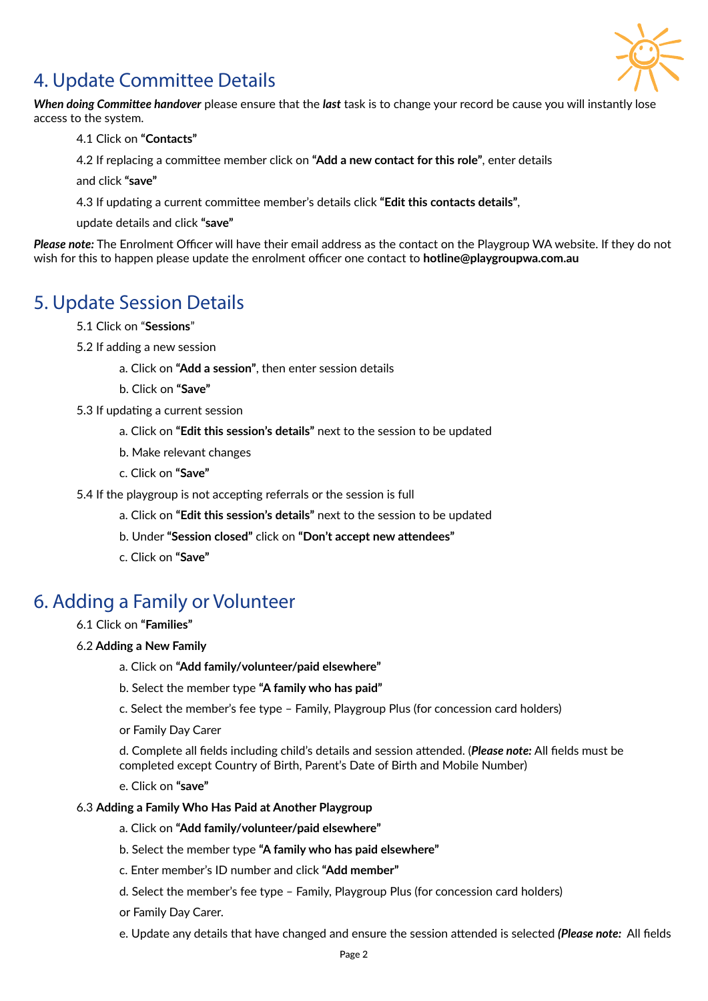

## 4. Update Committee Details

*When doing Committee handover* please ensure that the *last* task is to change your record be cause you will instantly lose access to the system.

- 4.1 Click on **"Contacts"**
- 4.2 If replacing a committee member click on **"Add a new contact for this role"**, enter details

and click **"save"**

4.3 If updating a current committee member's details click **"Edit this contacts details"**,

update details and click **"save"**

*Please note:* The Enrolment Officer will have their email address as the contact on the Playgroup WA website. If they do not wish for this to happen please update the enrolment officer one contact to **hotline@playgroupwa.com.au**

## 5. Update Session Details

- 5.1 Click on "**Sessions**"
- 5.2 If adding a new session
	- a. Click on **"Add a session"**, then enter session details
	- b. Click on **"Save"**
- 5.3 If updating a current session
	- a. Click on **"Edit this session's details"** next to the session to be updated
	- b. Make relevant changes
	- c. Click on **"Save"**
- 5.4 If the playgroup is not accepting referrals or the session is full
	- a. Click on **"Edit this session's details"** next to the session to be updated
	- b. Under **"Session closed"** click on **"Don't accept new attendees"**
	- c. Click on **"Save"**

## 6. Adding a Family or Volunteer

- 6.1 Click on **"Families"**
- 6.2 **Adding a New Family**
	- a. Click on **"Add family/volunteer/paid elsewhere"**
	- b. Select the member type **"A family who has paid"**
	- c. Select the member's fee type Family, Playgroup Plus (for concession card holders)
	- or Family Day Carer

d. Complete all fields including child's details and session attended. (*Please note:* All fields must be completed except Country of Birth, Parent's Date of Birth and Mobile Number)

e. Click on **"save"**

#### 6.3 **Adding a Family Who Has Paid at Another Playgroup**

- a. Click on **"Add family/volunteer/paid elsewhere"**
- b. Select the member type **"A family who has paid elsewhere"**
- c. Enter member's ID number and click **"Add member"**
- d. Select the member's fee type Family, Playgroup Plus (for concession card holders)
- or Family Day Carer.
- e. Update any details that have changed and ensure the session attended is selected *(Please note:* All fields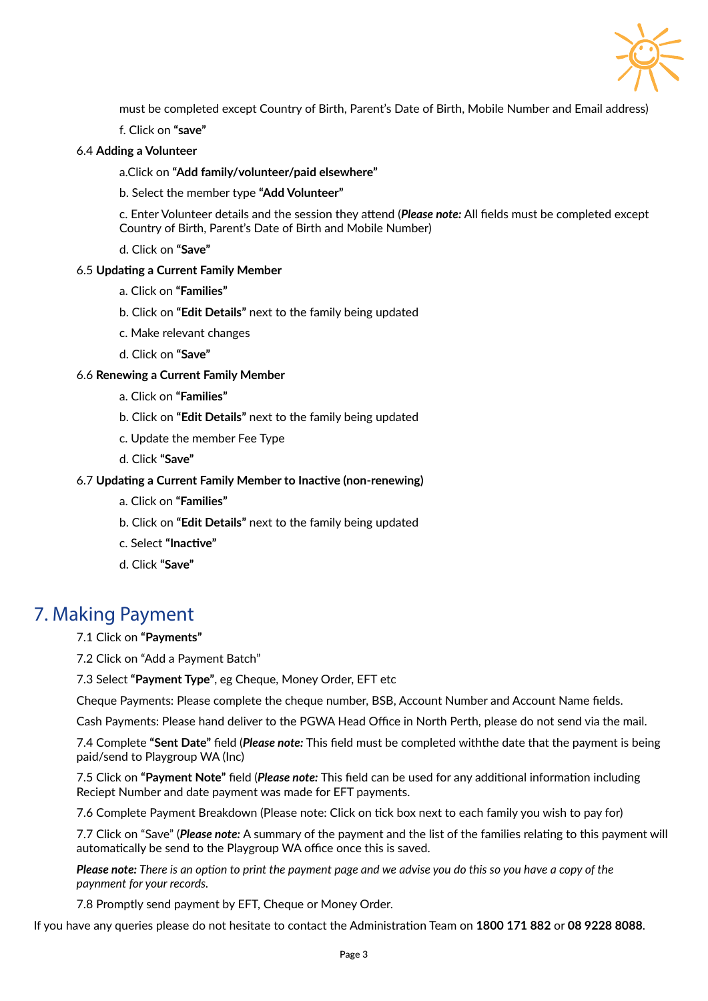

must be completed except Country of Birth, Parent's Date of Birth, Mobile Number and Email address)

f. Click on **"save"**

#### 6.4 **Adding a Volunteer**

a.Click on **"Add family/volunteer/paid elsewhere"**

b. Select the member type **"Add Volunteer"**

c. Enter Volunteer details and the session they attend (*Please note:* All fields must be completed except Country of Birth, Parent's Date of Birth and Mobile Number)

d. Click on **"Save"**

#### 6.5 **Updating a Current Family Member**

- a. Click on **"Families"**
- b. Click on **"Edit Details"** next to the family being updated
- c. Make relevant changes
- d. Click on **"Save"**

#### 6.6 **Renewing a Current Family Member**

- a. Click on **"Families"**
- b. Click on **"Edit Details"** next to the family being updated
- c. Update the member Fee Type
- d. Click **"Save"**

#### 6.7 **Updating a Current Family Member to Inactive (non-renewing)**

- a. Click on **"Families"**
- b. Click on **"Edit Details"** next to the family being updated
- c. Select **"Inactive"**
- d. Click **"Save"**

### 7. Making Payment

7.1 Click on **"Payments"**

7.2 Click on "Add a Payment Batch"

7.3 Select **"Payment Type"**, eg Cheque, Money Order, EFT etc

Cheque Payments: Please complete the cheque number, BSB, Account Number and Account Name fields.

Cash Payments: Please hand deliver to the PGWA Head Office in North Perth, please do not send via the mail.

7.4 Complete **"Sent Date"** field (*Please note:* This field must be completed withthe date that the payment is being paid/send to Playgroup WA (Inc)

7.5 Click on **"Payment Note"** field (*Please note:* This field can be used for any additional information including Reciept Number and date payment was made for EFT payments.

7.6 Complete Payment Breakdown (Please note: Click on tick box next to each family you wish to pay for)

7.7 Click on "Save" (*Please note:* A summary of the payment and the list of the families relating to this payment will automatically be send to the Playgroup WA office once this is saved.

*Please note: There is an option to print the payment page and we advise you do this so you have a copy of the paynment for your records.*

7.8 Promptly send payment by EFT, Cheque or Money Order.

If you have any queries please do not hesitate to contact the Administration Team on **1800 171 882** or **08 9228 8088**.